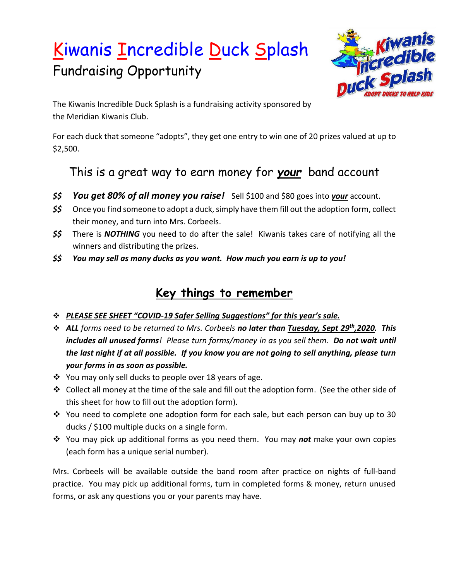# Kiwanis Incredible Duck Splash Fundraising Opportunity



The Kiwanis Incredible Duck Splash is a fundraising activity sponsored by the Meridian Kiwanis Club.

For each duck that someone "adopts", they get one entry to win one of 20 prizes valued at up to \$2,500.

### This is a great way to earn money for *your* band account

- *\$\$ You get 80% of all money you raise!* Sell \$100 and \$80 goes into *your* account.
- *\$\$* Once you find someone to adopt a duck, simply have them fill out the adoption form, collect their money, and turn into Mrs. Corbeels.
- *\$\$* There is *NOTHING* you need to do after the sale! Kiwanis takes care of notifying all the winners and distributing the prizes.
- *\$\$ You may sell as many ducks as you want. How much you earn is up to you!*

### **Key things to remember**

- ❖ *PLEASE SEE SHEET "COVID-19 Safer Selling Suggestions" for this year's sale.*
- ❖ *ALL forms need to be returned to Mrs. Corbeels no later than Tuesday, Sept 29 th,2020. This includes all unused forms! Please turn forms/money in as you sell them. Do not wait until the last night if at all possible. If you know you are not going to sell anything, please turn your forms in as soon as possible.*
- ❖ You may only sell ducks to people over 18 years of age.
- ❖ Collect all money at the time of the sale and fill out the adoption form. (See the other side of this sheet for how to fill out the adoption form).
- $\dots$  You need to complete one adoption form for each sale, but each person can buy up to 30 ducks / \$100 multiple ducks on a single form.
- ❖ You may pick up additional forms as you need them. You may *not* make your own copies (each form has a unique serial number).

Mrs. Corbeels will be available outside the band room after practice on nights of full-band practice. You may pick up additional forms, turn in completed forms & money, return unused forms, or ask any questions you or your parents may have.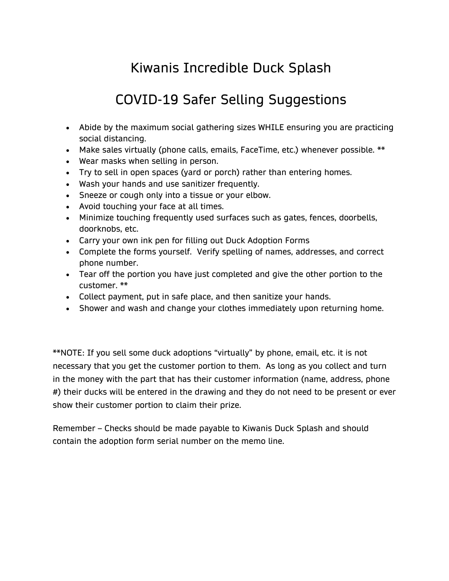# Kiwanis Incredible Duck Splash

# COVID-19 Safer Selling Suggestions

- Abide by the maximum social gathering sizes WHILE ensuring you are practicing social distancing.
- Make sales virtually (phone calls, emails, FaceTime, etc.) whenever possible. \*\*
- Wear masks when selling in person.
- Try to sell in open spaces (yard or porch) rather than entering homes.
- Wash your hands and use sanitizer frequently.
- Sneeze or cough only into a tissue or your elbow.
- Avoid touching your face at all times.
- Minimize touching frequently used surfaces such as gates, fences, doorbells, doorknobs, etc.
- Carry your own ink pen for filling out Duck Adoption Forms
- Complete the forms yourself. Verify spelling of names, addresses, and correct phone number.
- Tear off the portion you have just completed and give the other portion to the customer. \*\*
- Collect payment, put in safe place, and then sanitize your hands.
- Shower and wash and change your clothes immediately upon returning home.

\*\*NOTE: If you sell some duck adoptions "virtually" by phone, email, etc. it is not necessary that you get the customer portion to them. As long as you collect and turn in the money with the part that has their customer information (name, address, phone #) their ducks will be entered in the drawing and they do not need to be present or ever show their customer portion to claim their prize.

Remember – Checks should be made payable to Kiwanis Duck Splash and should contain the adoption form serial number on the memo line.